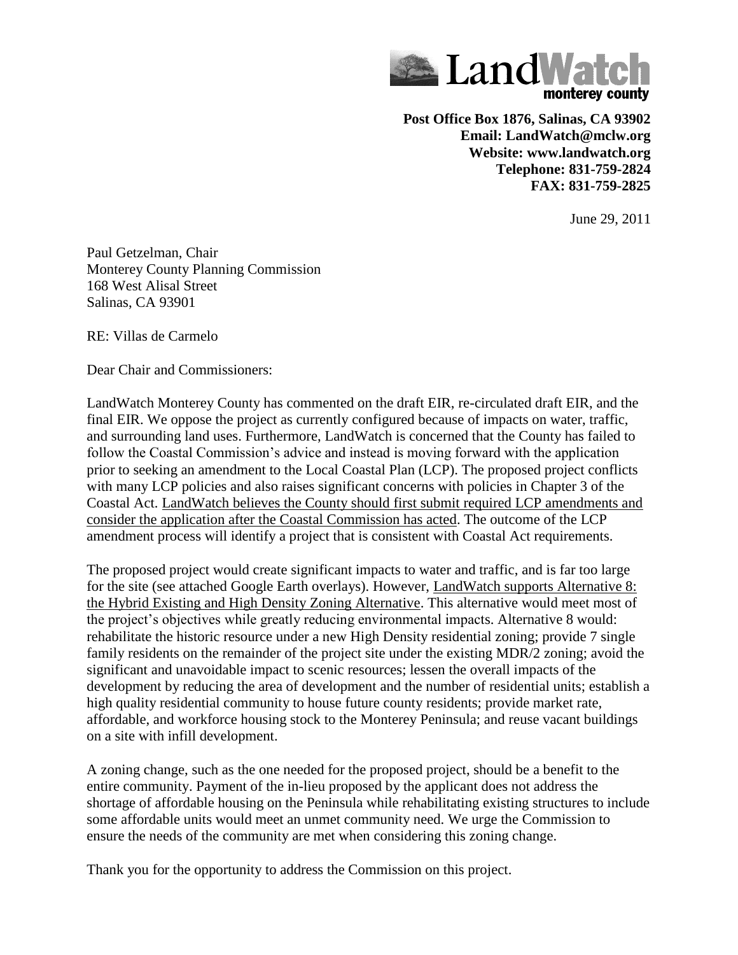

**Post Office Box 1876, Salinas, CA 93902 Email: LandWatch@mclw.org Website: www.landwatch.org Telephone: 831-759-2824 FAX: 831-759-2825**

June 29, 2011

Paul Getzelman, Chair Monterey County Planning Commission 168 West Alisal Street Salinas, CA 93901

RE: Villas de Carmelo

Dear Chair and Commissioners:

LandWatch Monterey County has commented on the draft EIR, re-circulated draft EIR, and the final EIR. We oppose the project as currently configured because of impacts on water, traffic, and surrounding land uses. Furthermore, LandWatch is concerned that the County has failed to follow the Coastal Commission's advice and instead is moving forward with the application prior to seeking an amendment to the Local Coastal Plan (LCP). The proposed project conflicts with many LCP policies and also raises significant concerns with policies in Chapter 3 of the Coastal Act. LandWatch believes the County should first submit required LCP amendments and consider the application after the Coastal Commission has acted. The outcome of the LCP amendment process will identify a project that is consistent with Coastal Act requirements.

The proposed project would create significant impacts to water and traffic, and is far too large for the site (see attached Google Earth overlays). However, LandWatch supports Alternative 8: the Hybrid Existing and High Density Zoning Alternative. This alternative would meet most of the project's objectives while greatly reducing environmental impacts. Alternative 8 would: rehabilitate the historic resource under a new High Density residential zoning; provide 7 single family residents on the remainder of the project site under the existing MDR/2 zoning; avoid the significant and unavoidable impact to scenic resources; lessen the overall impacts of the development by reducing the area of development and the number of residential units; establish a high quality residential community to house future county residents; provide market rate, affordable, and workforce housing stock to the Monterey Peninsula; and reuse vacant buildings on a site with infill development.

A zoning change, such as the one needed for the proposed project, should be a benefit to the entire community. Payment of the in-lieu proposed by the applicant does not address the shortage of affordable housing on the Peninsula while rehabilitating existing structures to include some affordable units would meet an unmet community need. We urge the Commission to ensure the needs of the community are met when considering this zoning change.

Thank you for the opportunity to address the Commission on this project.